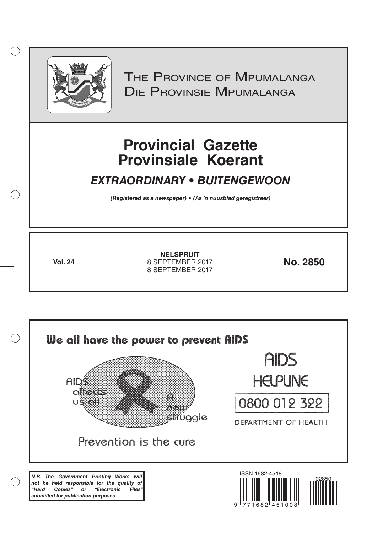

 $( )$ 

THE PROVINCE OF MPUMALANGA Die Provinsie Mpumalanga

# **Provincial Gazette Provinsiale Koerant**

## *EXTRAORDINARY • BUITENGEWOON*

*(Registered as a newspaper) • (As 'n nuusblad geregistreer)*

**Vol. 24 No. 2850** 8 SEPTEMBER 2017 **NELSPRUIT** 8 SEPTEMBER 2017

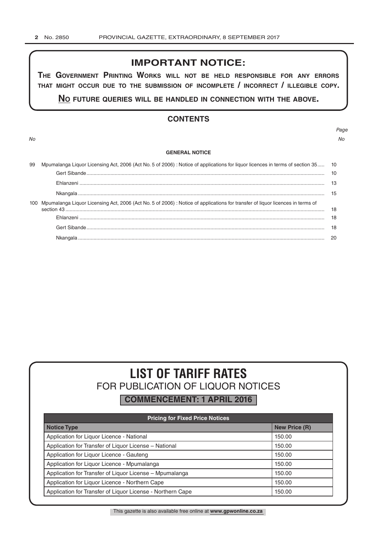### **IMPORTANT NOTICE:**

**The GovernmenT PrinTinG Works Will noT be held resPonsible for any errors ThaT miGhT occur due To The submission of incomPleTe / incorrecT / illeGible coPy.**

**no fuTure queries Will be handled in connecTion WiTh The above.**

### **CONTENTS**

*No No*

#### **GENERAL NOTICE**

| 99  | Mpumalanga Liquor Licensing Act, 2006 (Act No. 5 of 2006) : Notice of applications for liquor licences in terms of section 35 10 |  |
|-----|----------------------------------------------------------------------------------------------------------------------------------|--|
|     |                                                                                                                                  |  |
|     |                                                                                                                                  |  |
|     |                                                                                                                                  |  |
| 100 | Mpumalanga Liquor Licensing Act, 2006 (Act No. 5 of 2006) : Notice of applications for transfer of liquor licences in terms of   |  |
|     |                                                                                                                                  |  |
|     |                                                                                                                                  |  |
|     |                                                                                                                                  |  |
|     |                                                                                                                                  |  |

## **LIST OF TARIFF RATES** FOR PUBLICATION OF LIQUOR NOTICES

**COMMENCEMENT: 1 APRIL 2016**

| <b>Pricing for Fixed Price Notices</b>                     |                      |  |  |  |
|------------------------------------------------------------|----------------------|--|--|--|
| <b>Notice Type</b>                                         | <b>New Price (R)</b> |  |  |  |
| Application for Liquor Licence - National                  | 150.00               |  |  |  |
| Application for Transfer of Liquor License - National      | 150.00               |  |  |  |
| Application for Liquor Licence - Gauteng                   | 150.00               |  |  |  |
| Application for Liquor Licence - Mpumalanga                | 150.00               |  |  |  |
| Application for Transfer of Liquor License - Mpumalanga    | 150.00               |  |  |  |
| Application for Liquor Licence - Northern Cape             | 150.00               |  |  |  |
| Application for Transfer of Liquor License - Northern Cape | 150.00               |  |  |  |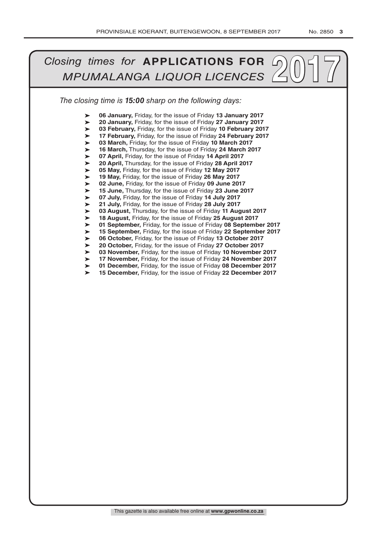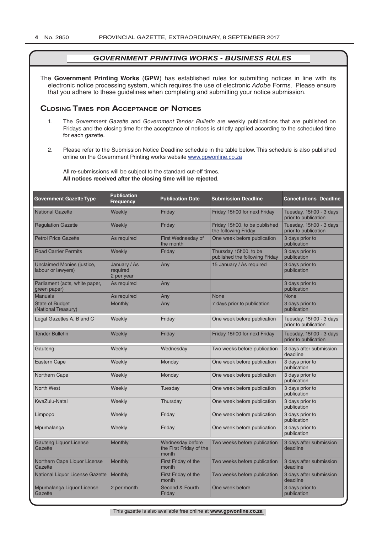The **Government Printing Works** (**GPW**) has established rules for submitting notices in line with its electronic notice processing system, which requires the use of electronic *Adobe* Forms. Please ensure that you adhere to these guidelines when completing and submitting your notice submission.

### **Closing Times for ACCepTAnCe of noTiCes**

- 1. The *Government Gazette* and *Government Tender Bulletin* are weekly publications that are published on Fridays and the closing time for the acceptance of notices is strictly applied according to the scheduled time for each gazette.
- 2. Please refer to the Submission Notice Deadline schedule in the table below. This schedule is also published online on the Government Printing works website www.gpwonline.co.za

All re-submissions will be subject to the standard cut-off times. **All notices received after the closing time will be rejected**.

| <b>Government Gazette Type</b>                   | <b>Publication</b><br><b>Frequency</b> | <b>Publication Date</b>                              | <b>Submission Deadline</b>                              | <b>Cancellations Deadline</b>                   |
|--------------------------------------------------|----------------------------------------|------------------------------------------------------|---------------------------------------------------------|-------------------------------------------------|
| <b>National Gazette</b>                          | Weekly                                 | Friday                                               | Friday 15h00 for next Friday                            | Tuesday, 15h00 - 3 days<br>prior to publication |
| <b>Regulation Gazette</b>                        | Weekly                                 | Friday                                               | Friday 15h00, to be published<br>the following Friday   | Tuesday, 15h00 - 3 days<br>prior to publication |
| <b>Petrol Price Gazette</b>                      | As required                            | First Wednesday of<br>the month                      | One week before publication                             | 3 days prior to<br>publication                  |
| <b>Road Carrier Permits</b>                      | Weekly                                 | Friday                                               | Thursday 15h00, to be<br>published the following Friday | 3 days prior to<br>publication                  |
| Unclaimed Monies (justice,<br>labour or lawyers) | January / As<br>required<br>2 per year | Any                                                  | 15 January / As required                                | 3 days prior to<br>publication                  |
| Parliament (acts, white paper,<br>green paper)   | As required                            | Any                                                  |                                                         | 3 days prior to<br>publication                  |
| <b>Manuals</b>                                   | As required                            | Any                                                  | <b>None</b>                                             | <b>None</b>                                     |
| <b>State of Budget</b><br>(National Treasury)    | <b>Monthly</b>                         | Any                                                  | 7 days prior to publication                             | 3 days prior to<br>publication                  |
| Legal Gazettes A, B and C                        | Weekly                                 | Friday                                               | One week before publication                             | Tuesday, 15h00 - 3 days<br>prior to publication |
| <b>Tender Bulletin</b>                           | Weekly                                 | Friday                                               | Friday 15h00 for next Friday                            | Tuesday, 15h00 - 3 days<br>prior to publication |
| Gauteng                                          | Weekly                                 | Wednesday                                            | Two weeks before publication                            | 3 days after submission<br>deadline             |
| <b>Eastern Cape</b>                              | Weekly                                 | Monday                                               | One week before publication                             | 3 days prior to<br>publication                  |
| Northern Cape                                    | Weekly                                 | Monday                                               | One week before publication                             | 3 days prior to<br>publication                  |
| <b>North West</b>                                | Weekly                                 | Tuesday                                              | One week before publication                             | 3 days prior to<br>publication                  |
| KwaZulu-Natal                                    | Weekly                                 | Thursday                                             | One week before publication                             | 3 days prior to<br>publication                  |
| Limpopo                                          | Weekly                                 | Friday                                               | One week before publication                             | 3 days prior to<br>publication                  |
| Mpumalanga                                       | Weekly                                 | Friday                                               | One week before publication                             | 3 days prior to<br>publication                  |
| <b>Gauteng Liquor License</b><br>Gazette         | Monthly                                | Wednesday before<br>the First Friday of the<br>month | Two weeks before publication                            | 3 days after submission<br>deadline             |
| Northern Cape Liquor License<br>Gazette          | Monthly                                | First Friday of the<br>month                         | Two weeks before publication                            | 3 days after submission<br>deadline             |
| National Liquor License Gazette                  | Monthly                                | First Friday of the<br>month                         | Two weeks before publication                            | 3 days after submission<br>deadline             |
| Mpumalanga Liquor License<br>Gazette             | 2 per month                            | Second & Fourth<br>Friday                            | One week before                                         | 3 days prior to<br>publication                  |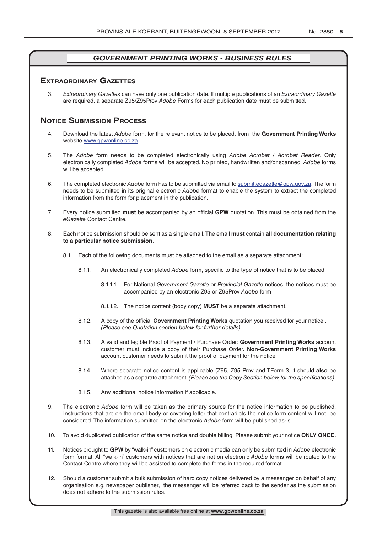### **exTrAordinAry gAzeTTes**

3. *Extraordinary Gazettes* can have only one publication date. If multiple publications of an *Extraordinary Gazette* are required, a separate Z95/Z95Prov *Adobe* Forms for each publication date must be submitted.

### **NOTICE SUBMISSION PROCESS**

- 4. Download the latest *Adobe* form, for the relevant notice to be placed, from the **Government Printing Works** website www.gpwonline.co.za.
- 5. The *Adobe* form needs to be completed electronically using *Adobe Acrobat* / *Acrobat Reader*. Only electronically completed *Adobe* forms will be accepted. No printed, handwritten and/or scanned *Adobe* forms will be accepted.
- 6. The completed electronic *Adobe* form has to be submitted via email to submit.egazette@gpw.gov.za. The form needs to be submitted in its original electronic *Adobe* format to enable the system to extract the completed information from the form for placement in the publication.
- 7. Every notice submitted **must** be accompanied by an official **GPW** quotation. This must be obtained from the *eGazette* Contact Centre.
- 8. Each notice submission should be sent as a single email. The email **must** contain **all documentation relating to a particular notice submission**.
	- 8.1. Each of the following documents must be attached to the email as a separate attachment:
		- 8.1.1. An electronically completed *Adobe* form, specific to the type of notice that is to be placed.
			- 8.1.1.1. For National *Government Gazette* or *Provincial Gazette* notices, the notices must be accompanied by an electronic Z95 or Z95Prov *Adobe* form
			- 8.1.1.2. The notice content (body copy) **MUST** be a separate attachment.
		- 8.1.2. A copy of the official **Government Printing Works** quotation you received for your notice . *(Please see Quotation section below for further details)*
		- 8.1.3. A valid and legible Proof of Payment / Purchase Order: **Government Printing Works** account customer must include a copy of their Purchase Order*.* **Non**-**Government Printing Works** account customer needs to submit the proof of payment for the notice
		- 8.1.4. Where separate notice content is applicable (Z95, Z95 Prov and TForm 3, it should **also** be attached as a separate attachment. *(Please see the Copy Section below, for the specifications)*.
		- 8.1.5. Any additional notice information if applicable.
- 9. The electronic *Adobe* form will be taken as the primary source for the notice information to be published. Instructions that are on the email body or covering letter that contradicts the notice form content will not be considered. The information submitted on the electronic *Adobe* form will be published as-is.
- 10. To avoid duplicated publication of the same notice and double billing, Please submit your notice **ONLY ONCE.**
- 11. Notices brought to **GPW** by "walk-in" customers on electronic media can only be submitted in *Adobe* electronic form format. All "walk-in" customers with notices that are not on electronic *Adobe* forms will be routed to the Contact Centre where they will be assisted to complete the forms in the required format.
- 12. Should a customer submit a bulk submission of hard copy notices delivered by a messenger on behalf of any organisation e.g. newspaper publisher, the messenger will be referred back to the sender as the submission does not adhere to the submission rules.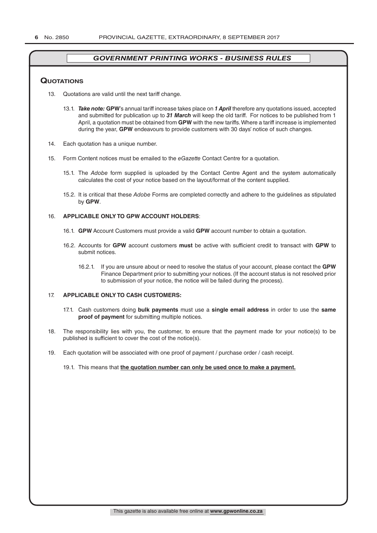### **QuoTATions**

- 13. Quotations are valid until the next tariff change.
	- 13.1. *Take note:* **GPW**'s annual tariff increase takes place on *1 April* therefore any quotations issued, accepted and submitted for publication up to *31 March* will keep the old tariff. For notices to be published from 1 April, a quotation must be obtained from **GPW** with the new tariffs. Where a tariff increase is implemented during the year, **GPW** endeavours to provide customers with 30 days' notice of such changes.
- 14. Each quotation has a unique number.
- 15. Form Content notices must be emailed to the *eGazette* Contact Centre for a quotation.
	- 15.1. The *Adobe* form supplied is uploaded by the Contact Centre Agent and the system automatically calculates the cost of your notice based on the layout/format of the content supplied.
	- 15.2. It is critical that these *Adobe* Forms are completed correctly and adhere to the guidelines as stipulated by **GPW**.

### 16. **APPLICABLE ONLY TO GPW ACCOUNT HOLDERS**:

- 16.1. **GPW** Account Customers must provide a valid **GPW** account number to obtain a quotation.
- 16.2. Accounts for **GPW** account customers **must** be active with sufficient credit to transact with **GPW** to submit notices.
	- 16.2.1. If you are unsure about or need to resolve the status of your account, please contact the **GPW** Finance Department prior to submitting your notices. (If the account status is not resolved prior to submission of your notice, the notice will be failed during the process).

### 17. **APPLICABLE ONLY TO CASH CUSTOMERS:**

- 17.1. Cash customers doing **bulk payments** must use a **single email address** in order to use the **same proof of payment** for submitting multiple notices.
- 18. The responsibility lies with you, the customer, to ensure that the payment made for your notice(s) to be published is sufficient to cover the cost of the notice(s).
- 19. Each quotation will be associated with one proof of payment / purchase order / cash receipt.

### 19.1. This means that **the quotation number can only be used once to make a payment.**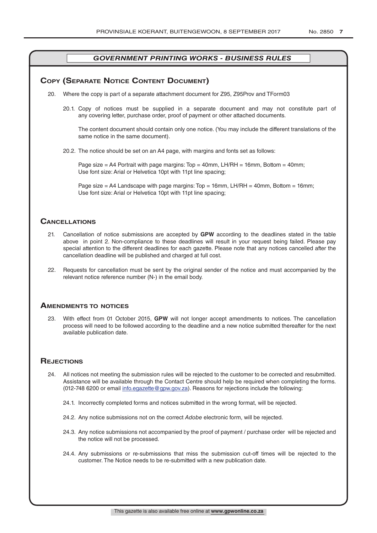### **COPY (SEPARATE NOTICE CONTENT DOCUMENT)**

- 20. Where the copy is part of a separate attachment document for Z95, Z95Prov and TForm03
	- 20.1. Copy of notices must be supplied in a separate document and may not constitute part of any covering letter, purchase order, proof of payment or other attached documents.

The content document should contain only one notice. (You may include the different translations of the same notice in the same document).

20.2. The notice should be set on an A4 page, with margins and fonts set as follows:

Page size  $=$  A4 Portrait with page margins: Top  $=$  40mm, LH/RH  $=$  16mm, Bottom  $=$  40mm; Use font size: Arial or Helvetica 10pt with 11pt line spacing;

Page size = A4 Landscape with page margins: Top = 16mm, LH/RH = 40mm, Bottom = 16mm; Use font size: Arial or Helvetica 10pt with 11pt line spacing;

### **CAnCellATions**

- 21. Cancellation of notice submissions are accepted by **GPW** according to the deadlines stated in the table above in point 2. Non-compliance to these deadlines will result in your request being failed. Please pay special attention to the different deadlines for each gazette. Please note that any notices cancelled after the cancellation deadline will be published and charged at full cost.
- 22. Requests for cancellation must be sent by the original sender of the notice and must accompanied by the relevant notice reference number (N-) in the email body.

### **AmendmenTs To noTiCes**

23. With effect from 01 October 2015, **GPW** will not longer accept amendments to notices. The cancellation process will need to be followed according to the deadline and a new notice submitted thereafter for the next available publication date.

### **REJECTIONS**

- 24. All notices not meeting the submission rules will be rejected to the customer to be corrected and resubmitted. Assistance will be available through the Contact Centre should help be required when completing the forms. (012-748 6200 or email info.egazette@gpw.gov.za). Reasons for rejections include the following:
	- 24.1. Incorrectly completed forms and notices submitted in the wrong format, will be rejected.
	- 24.2. Any notice submissions not on the correct *Adobe* electronic form, will be rejected.
	- 24.3. Any notice submissions not accompanied by the proof of payment / purchase order will be rejected and the notice will not be processed.
	- 24.4. Any submissions or re-submissions that miss the submission cut-off times will be rejected to the customer. The Notice needs to be re-submitted with a new publication date.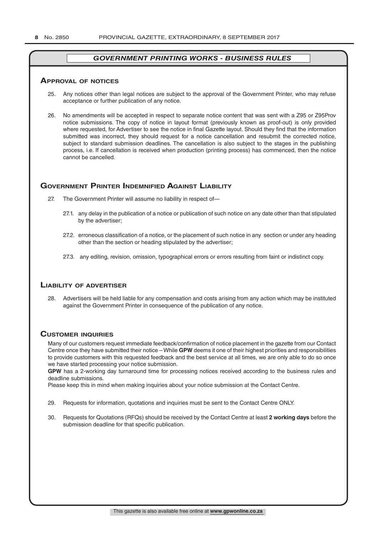### **ApprovAl of noTiCes**

- 25. Any notices other than legal notices are subject to the approval of the Government Printer, who may refuse acceptance or further publication of any notice.
- 26. No amendments will be accepted in respect to separate notice content that was sent with a Z95 or Z95Prov notice submissions. The copy of notice in layout format (previously known as proof-out) is only provided where requested, for Advertiser to see the notice in final Gazette layout. Should they find that the information submitted was incorrect, they should request for a notice cancellation and resubmit the corrected notice, subject to standard submission deadlines. The cancellation is also subject to the stages in the publishing process, i.e. If cancellation is received when production (printing process) has commenced, then the notice cannot be cancelled.

### **governmenT prinTer indemnified AgAinsT liAbiliTy**

- 27. The Government Printer will assume no liability in respect of—
	- 27.1. any delay in the publication of a notice or publication of such notice on any date other than that stipulated by the advertiser;
	- 27.2. erroneous classification of a notice, or the placement of such notice in any section or under any heading other than the section or heading stipulated by the advertiser;
	- 27.3. any editing, revision, omission, typographical errors or errors resulting from faint or indistinct copy.

### **liAbiliTy of AdverTiser**

28. Advertisers will be held liable for any compensation and costs arising from any action which may be instituted against the Government Printer in consequence of the publication of any notice.

### **CusTomer inQuiries**

Many of our customers request immediate feedback/confirmation of notice placement in the gazette from our Contact Centre once they have submitted their notice – While **GPW** deems it one of their highest priorities and responsibilities to provide customers with this requested feedback and the best service at all times, we are only able to do so once we have started processing your notice submission.

**GPW** has a 2-working day turnaround time for processing notices received according to the business rules and deadline submissions.

Please keep this in mind when making inquiries about your notice submission at the Contact Centre.

- 29. Requests for information, quotations and inquiries must be sent to the Contact Centre ONLY.
- 30. Requests for Quotations (RFQs) should be received by the Contact Centre at least **2 working days** before the submission deadline for that specific publication.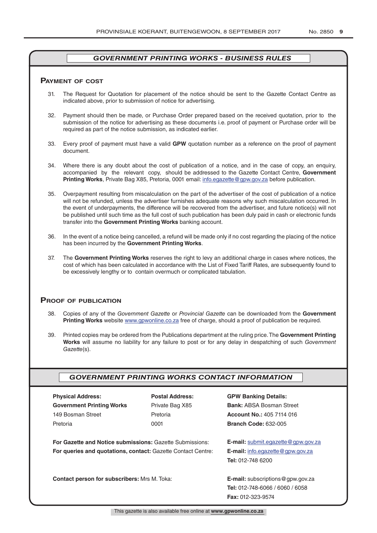### **pAymenT of CosT**

- 31. The Request for Quotation for placement of the notice should be sent to the Gazette Contact Centre as indicated above, prior to submission of notice for advertising.
- 32. Payment should then be made, or Purchase Order prepared based on the received quotation, prior to the submission of the notice for advertising as these documents i.e. proof of payment or Purchase order will be required as part of the notice submission, as indicated earlier.
- 33. Every proof of payment must have a valid **GPW** quotation number as a reference on the proof of payment document.
- 34. Where there is any doubt about the cost of publication of a notice, and in the case of copy, an enquiry, accompanied by the relevant copy, should be addressed to the Gazette Contact Centre, **Government Printing Works**, Private Bag X85, Pretoria, 0001 email: info.egazette@gpw.gov.za before publication.
- 35. Overpayment resulting from miscalculation on the part of the advertiser of the cost of publication of a notice will not be refunded, unless the advertiser furnishes adequate reasons why such miscalculation occurred. In the event of underpayments, the difference will be recovered from the advertiser, and future notice(s) will not be published until such time as the full cost of such publication has been duly paid in cash or electronic funds transfer into the **Government Printing Works** banking account.
- 36. In the event of a notice being cancelled, a refund will be made only if no cost regarding the placing of the notice has been incurred by the **Government Printing Works**.
- 37. The **Government Printing Works** reserves the right to levy an additional charge in cases where notices, the cost of which has been calculated in accordance with the List of Fixed Tariff Rates, are subsequently found to be excessively lengthy or to contain overmuch or complicated tabulation.

### **proof of publiCATion**

- 38. Copies of any of the *Government Gazette* or *Provincial Gazette* can be downloaded from the **Government Printing Works** website www.gpwonline.co.za free of charge, should a proof of publication be required.
- 39. Printed copies may be ordered from the Publications department at the ruling price. The **Government Printing Works** will assume no liability for any failure to post or for any delay in despatching of such *Government Gazette*(s).

### *GOVERNMENT PRINTING WORKS CONTACT INFORMATION*

| <b>Physical Address:</b>         |  |  |  |  |
|----------------------------------|--|--|--|--|
| <b>Government Printing Works</b> |  |  |  |  |
| 149 Bosman Street                |  |  |  |  |
| Pretoria                         |  |  |  |  |

**For Gazette and Notice submissions:** Gazette Submissions: **E-mail:** submit.egazette@gpw.gov.za **For queries and quotations, contact:** Gazette Contact Centre: **E-mail:** info.egazette@gpw.gov.za

**Contact person for subscribers:** Mrs M. Toka: **E-mail:** subscriptions@gpw.gov.za

## **Physical Address: Postal Address: GPW Banking Details:**

Private Bag X85 **Bank:** ABSA Bosman Street 149 Bosman Street Pretoria **Account No.:** 405 7114 016 Pretoria 0001 **Branch Code:** 632-005

**Tel:** 012-748 6200

**Tel:** 012-748-6066 / 6060 / 6058 **Fax:** 012-323-9574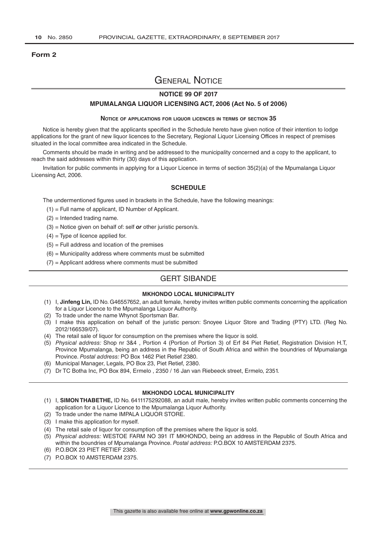### **Form 2**

### General Notice

### **NOTICE 99 OF 2017**

#### **MPUMALANGA LIQUOR LICENSING ACT, 2006 (Act No. 5 of 2006)**

#### **Notice of applications for liquor licences in terms of section 35**

Notice is hereby given that the applicants specified in the Schedule hereto have given notice of their intention to lodge applications for the grant of new liquor licences to the Secretary, Regional Liquor Licensing Offices in respect of premises situated in the local committee area indicated in the Schedule.

Comments should be made in writing and be addressed to the municipality concerned and a copy to the applicant, to reach the said addresses within thirty (30) days of this application.

Invitation for public comments in applying for a Liquor Licence in terms of section 35(2)(a) of the Mpumalanga Liquor Licensing Act, 2006.

### **SCHEDULE**

The undermentioned figures used in brackets in the Schedule, have the following meanings:

- (1) = Full name of applicant, ID Number of Applicant.
- (2) = Intended trading name.
- (3) = Notice given on behalf of: self *or* other juristic person/s.
- $(4)$  = Type of licence applied for.
- $(5)$  = Full address and location of the premises
- $(6)$  = Municipality address where comments must be submitted
- $(7)$  = Applicant address where comments must be submitted

### GERT SIBANDE

### **MKHONDO LOCAL MUNICIPALITY**

- (1) I, **Jinfeng Lin,** ID No. G46557652, an adult female, hereby invites written public comments concerning the application for a Liquor Licence to the Mpumalanga Liquor Authority.
- (2) To trade under the name Whynot Sportsman Bar.
- (3) I make this application on behalf of the juristic person: Snoyee Liquor Store and Trading (PTY) LTD. (Reg No. 2012/166539/07).
- (4) The retail sale of liquor for consumption on the premises where the liquor is sold.
- (5) *Physical address:* Shop nr 3&4 , Portion 4 (Portion of Portion 3) of Erf 84 Piet Retief, Registration Division H.T, Province Mpumalanga, being an address in the Republic of South Africa and within the boundries of Mpumalanga Province. *Postal address:* PO Box 1462 Piet Retief 2380.
- (6) Municipal Manager, Legals, PO Box 23, Piet Retief, 2380.
- (7) Dr TC Botha Inc, PO Box 894, Ermelo , 2350 / 16 Jan van Riebeeck street, Ermelo, 2351.

### **MKHONDO LOCAL MUNICIPALITY**

- (1) I, **SIMON THABETHE,** ID No. 6411175292088, an adult male, hereby invites written public comments concerning the application for a Liquor Licence to the Mpumalanga Liquor Authority.
- (2) To trade under the name IMPALA LIQUOR STORE.
- (3) I make this application for myself.
- (4) The retail sale of liquor for consumption off the premises where the liquor is sold.
- (5) *Physical address:* WESTOE FARM NO 391 IT MKHONDO, being an address in the Republic of South Africa and within the boundries of Mpumalanga Province. *Postal address:* P.O.BOX 10 AMSTERDAM 2375.
- (6) P.O.BOX 23 PIET RETIEF 2380.
- (7) P.O.BOX 10 AMSTERDAM 2375.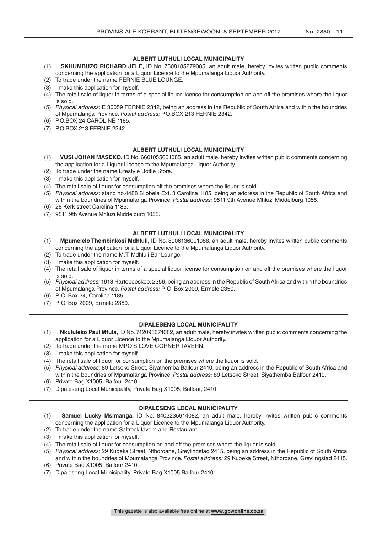### **ALBERT LUTHULI LOCAL MUNICIPALITY**

- (1) I, **SKHUMBUZO RICHARD JELE,** ID No. 7508185279085, an adult male, hereby invites written public comments concerning the application for a Liquor Licence to the Mpumalanga Liquor Authority.
- (2) To trade under the name FERNIE BLUE LOUNGE.
- (3) I make this application for myself.
- (4) The retail sale of liquor in terms of a special liquor license for consumption on and off the premises where the liquor is sold.
- (5) *Physical address:* E 30059 FERNIE 2342, being an address in the Republic of South Africa and within the boundries of Mpumalanga Province. *Postal address:* P.O.BOX 213 FERNIE 2342.
- (6) P.O.BOX 24 CAROLINE 1185. (7) P.O.BOX 213 FERNIE 2342.

### **ALBERT LUTHULI LOCAL MUNICIPALITY**

- (1) I, **VUSI JOHAN MASEKO,** ID No. 6601055661085, an adult male, hereby invites written public comments concerning the application for a Liquor Licence to the Mpumalanga Liquor Authority.
- (2) To trade under the name Lifestyle Bottle Store.
- (3) I make this application for myself.
- (4) The retail sale of liquor for consumption off the premises where the liquor is sold.
- (5) *Physical address:* stand no.4488 Silobela Ext. 3 Carolina 1185, being an address in the Republic of South Africa and within the boundries of Mpumalanga Province. *Postal address:* 9511 9th Avenue Mhluzi Middelburg 1055.
- (6) 28 Kerk street Carolina 1185.
- (7) 9511 9th Avenue Mhluzi Middelburg 1055.

### **ALBERT LUTHULI LOCAL MUNICIPALITY**

- (1) I, **Mpumelelo Thembinkosi Mdhluli,** ID No. 8006136091088, an adult male, hereby invites written public comments concerning the application for a Liquor Licence to the Mpumalanga Liquor Authority.
- (2) To trade under the name M.T. Mdhluli Bar Lounge.
- (3) I make this application for myself.
- (4) The retail sale of liquor in terms of a special liquor license for consumption on and off the premises where the liquor is sold.
- (5) *Physical address:* 1918 Hartebeeskop, 2356, being an address in the Republic of South Africa and within the boundries of Mpumalanga Province. *Postal address:* P. O. Box 2009, Ermelo 2350.
- (6) P. O. Box 24, Carolina 1185.
- (7) P. O. Box 2009, Ermelo 2350.

### **DIPALESENG LOCAL MUNICIPALITY**

- (1) I, **Nkululeko Paul Mfula,** ID No. 742095674082, an adult male, hereby invites written public comments concerning the application for a Liquor Licence to the Mpumalanga Liquor Authority.
- (2) To trade under the name MPO'S LOVE CORNER TAVERN.
- (3) I make this application for myself.
- (4) The retail sale of liquor for consumption on the premises where the liquor is sold.
- (5) *Physical address:* 89 Letsoko Street, Siyathemba Balfour 2410, being an address in the Republic of South Africa and within the boundries of Mpumalanga Province. *Postal address:* 89 Letsoko Street, Siyathemba Balfour 2410.
- (6) Private Bag X1005, Balfour 2410.
- (7) Dipaleseng Local Municipality, Private Bag X1005, Balfour, 2410.

### **DIPALESENG LOCAL MUNICIPALITY**

- (1) I, **Samuel Lucky Msimanga,** ID No. 8402235914082, an adult male, hereby invites written public comments concerning the application for a Liquor Licence to the Mpumalanga Liquor Authority.
- (2) To trade under the name Saltrock tavern and Restaurant.
- (3) I make this application for myself.
- (4) The retail sale of liquor for consumption on and off the premises where the liquor is sold.
- (5) *Physical address:* 29 Kubeka Street, Nthoroane, Greylingstad 2415, being an address in the Republic of South Africa and within the boundries of Mpumalanga Province. *Postal address:* 29 Kubeka Street, Nthoroane, Greylingstad 2415.
- (6) Private Bag X1005, Balfour 2410.
- (7) Dipaleseng Local Municipality, Private Bag X1005 Balfour 2410.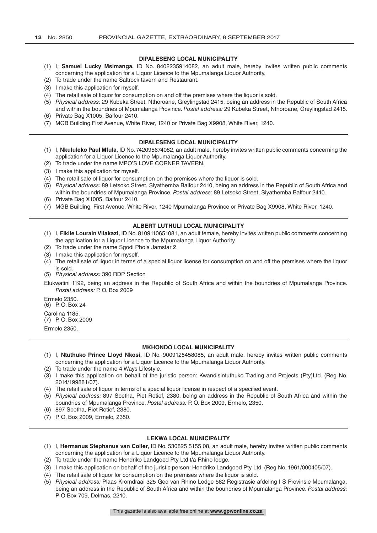### **DIPALESENG LOCAL MUNICIPALITY**

- (1) I, **Samuel Lucky Msimanga,** ID No. 8402235914082, an adult male, hereby invites written public comments concerning the application for a Liquor Licence to the Mpumalanga Liquor Authority.
- (2) To trade under the name Saltrock tavern and Restaurant.
- (3) I make this application for myself.
- (4) The retail sale of liquor for consumption on and off the premises where the liquor is sold.
- (5) *Physical address:* 29 Kubeka Street, Nthoroane, Greylingstad 2415, being an address in the Republic of South Africa and within the boundries of Mpumalanga Province. *Postal address:* 29 Kubeka Street, Nthoroane, Greylingstad 2415.
- (6) Private Bag X1005, Balfour 2410.
- (7) MGB Building First Avenue, White River, 1240 or Private Bag X9908, White River, 1240.

### **DIPALESENG LOCAL MUNICIPALITY**

- (1) I, **Nkululeko Paul Mfula,** ID No. 742095674082, an adult male, hereby invites written public comments concerning the application for a Liquor Licence to the Mpumalanga Liquor Authority.
- (2) To trade under the name MPO'S LOVE CORNER TAVERN.
- (3) I make this application for myself.
- (4) The retail sale of liquor for consumption on the premises where the liquor is sold.
- (5) *Physical address:* 89 Letsoko Street, Siyathemba Balfour 2410, being an address in the Republic of South Africa and within the boundries of Mpumalanga Province. *Postal address:* 89 Letsoko Street, Siyathemba Balfour 2410.
- (6) Private Bag X1005, Balfour 2410.
- (7) MGB Building, First Avenue, White River, 1240 Mpumalanga Province or Private Bag X9908, White River, 1240.

#### **ALBERT LUTHULI LOCAL MUNICIPALITY**

- (1) I, **Fikile Lourain Vilakazi,** ID No. 8109110651081, an adult female, hereby invites written public comments concerning the application for a Liquor Licence to the Mpumalanga Liquor Authority.
- (2) To trade under the name Sgodi Phola Jamstar 2.
- (3) I make this application for myself.
- (4) The retail sale of liquor in terms of a special liquor license for consumption on and off the premises where the liquor is sold.
- (5) *Physical address:* 390 RDP Section

Elukwatini 1192, being an address in the Republic of South Africa and within the boundries of Mpumalanga Province. *Postal address:* P. O. Box 2009

Ermelo 2350.

(6) P. O. Box 24

Carolina 1185. (7) P. O. Box 2009

Ermelo 2350.

**MKHONDO LOCAL MUNICIPALITY**

- (1) I, **Ntuthuko Prince Lloyd Nkosi,** ID No. 9009125458085, an adult male, hereby invites written public comments concerning the application for a Liquor Licence to the Mpumalanga Liquor Authority.
- (2) To trade under the name 4 Ways Lifestyle.
- (3) I make this application on behalf of the juristic person: Kwandisintuthuko Trading and Projects (Pty)Ltd. (Reg No. 2014/199881/07).
- (4) The retail sale of liquor in terms of a special liquor license in respect of a specified event.
- (5) *Physical address:* 897 Sbetha, Piet Retief, 2380, being an address in the Republic of South Africa and within the boundries of Mpumalanga Province. *Postal address:* P. O. Box 2009, Ermelo, 2350.
- (6) 897 Sbetha, Piet Retief, 2380.
- (7) P. O. Box 2009, Ermelo, 2350.

#### **LEKWA LOCAL MUNICIPALITY**

- (1) I, **Hermanus Stephanus van Coller,** ID No. 530825 5155 08, an adult male, hereby invites written public comments concerning the application for a Liquor Licence to the Mpumalanga Liquor Authority.
- (2) To trade under the name Hendriko Landgoed Pty Ltd t/a Rhino lodge.
- (3) I make this application on behalf of the juristic person: Hendriko Landgoed Pty Ltd. (Reg No. 1961/000405/07).
- (4) The retail sale of liquor for consumption on the premises where the liquor is sold.
- (5) *Physical address:* Plaas Kromdraai 325 Ged van Rhino Lodge 582 Registrasie afdeling I S Provinsie Mpumalanga, being an address in the Republic of South Africa and within the boundries of Mpumalanga Province. *Postal address:*  P O Box 709, Delmas, 2210.

This gazette is also available free online at **www.gpwonline.co.za**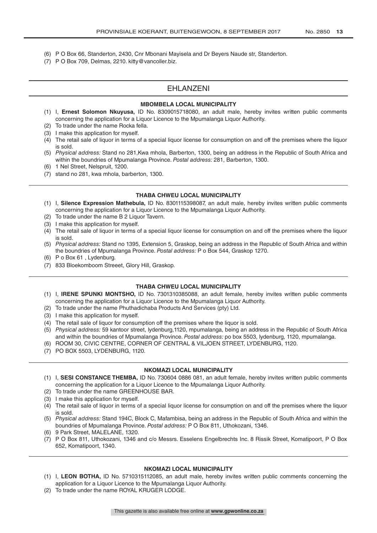- (6) P O Box 66, Standerton, 2430, Cnr Mbonani Mayisela and Dr Beyers Naude str, Standerton.
- (7) P O Box 709, Delmas, 2210. kitty@vancoller.biz.

### **FHI ANZENI**

#### **MBOMBELA LOCAL MUNICIPALITY**

- (1) I, **Ernest Solomon Nkuyusa,** ID No. 8309015718080, an adult male, hereby invites written public comments concerning the application for a Liquor Licence to the Mpumalanga Liquor Authority.
- (2) To trade under the name Rocka fella.
- (3) I make this application for myself.
- (4) The retail sale of liquor in terms of a special liquor license for consumption on and off the premises where the liquor is sold.
- (5) *Physical address:* Stand no 281,Kwa mhola, Barberton, 1300, being an address in the Republic of South Africa and within the boundries of Mpumalanga Province. *Postal address:* 281, Barberton, 1300.
- (6) 1 Nel Street, Nelspruit, 1200.
- (7) stand no 281, kwa mhola, barberton, 1300.

### **THABA CHWEU LOCAL MUNICIPALITY**

- (1) I, **Silence Expression Mathebula,** ID No. 8301115398087, an adult male, hereby invites written public comments concerning the application for a Liquor Licence to the Mpumalanga Liquor Authority.
- (2) To trade under the name B 2 Liquor Tavern.
- (3) I make this application for myself.
- (4) The retail sale of liquor in terms of a special liquor license for consumption on and off the premises where the liquor is sold.
- (5) *Physical address:* Stand no 1395, Extension 5, Graskop, being an address in the Republic of South Africa and within the boundries of Mpumalanga Province. *Postal address:* P o Box 544, Graskop 1270.
- (6) P o Box 61 , Lydenburg.
- (7) 833 Bloekomboom Streeet, Glory Hill, Graskop.

### **THABA CHWEU LOCAL MUNICIPALITY**

- (1) I, **IRENE SPUNKI MONTSHO,** ID No. 7301310385088, an adult female, hereby invites written public comments concerning the application for a Liquor Licence to the Mpumalanga Liquor Authority.
- (2) To trade under the name Phuthadichaba Products And Services (pty) Ltd.
- (3) I make this application for myself.
- (4) The retail sale of liquor for consumption off the premises where the liquor is sold.
- (5) *Physical address:* 59 kantoor street, lydenburg,1120, mpumalanga, being an address in the Republic of South Africa and within the boundries of Mpumalanga Province. *Postal address:* po box 5503, lydenburg, 1120, mpumalanga.
- (6) ROOM 30, CIVIC CENTRE, CORNER OF CENTRAL & VILJOEN STREET, LYDENBURG, 1120.
- (7) PO BOX 5503, LYDENBURG, 1120.

### **NKOMAZI LOCAL MUNICIPALITY**

- (1) I, **SESI CONSTANCE THEMBA,** ID No. 730604 0886 081, an adult female, hereby invites written public comments concerning the application for a Liquor Licence to the Mpumalanga Liquor Authority.
- (2) To trade under the name GREENHOUSE BAR.
- (3) I make this application for myself.
- (4) The retail sale of liquor in terms of a special liquor license for consumption on and off the premises where the liquor is sold.
- (5) *Physical address:* Stand 194C, Block C, Mafambisa, being an address in the Republic of South Africa and within the boundries of Mpumalanga Province. *Postal address:* P O Box 811, Uthokozani, 1346.
- (6) 9 Park Street, MALELANE, 1320.
- (7) P O Box 811, Uthokozani, 1346 and c/o Messrs. Esselens Engelbrechts Inc. 8 Rissik Street, Komatipoort, P O Box 652, Komatipoort, 1340.

#### **NKOMAZI LOCAL MUNICIPALITY**

- (1) I, **LEON BOTHA,** ID No. 5710315112085, an adult male, hereby invites written public comments concerning the application for a Liquor Licence to the Mpumalanga Liquor Authority.
- (2) To trade under the name ROYAL KRUGER LODGE.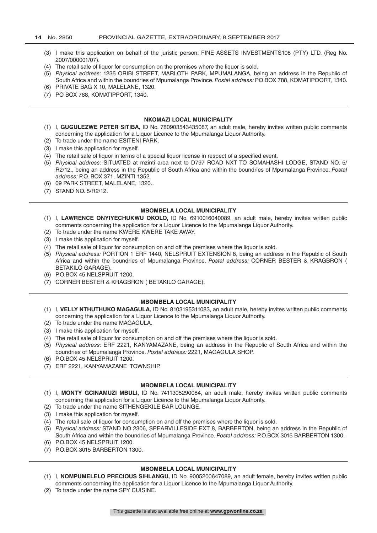- (3) I make this application on behalf of the juristic person: FINE ASSETS INVESTMENTS108 (PTY) LTD. (Reg No. 2007/000001/07).
- (4) The retail sale of liquor for consumption on the premises where the liquor is sold.
- (5) *Physical address:* 1235 ORIBI STREET, MARLOTH PARK, MPUMALANGA, being an address in the Republic of South Africa and within the boundries of Mpumalanga Province. *Postal address:* PO BOX 788, KOMATIPOORT, 1340. (6) PRIVATE BAG X 10, MALELANE, 1320.
- (7) PO BOX 788, KOMATIPPORT, 1340.

#### **NKOMAZI LOCAL MUNICIPALITY**

- (1) I, **GUGULEZWE PETER SITIBA,** ID No. 780903543435087, an adult male, hereby invites written public comments concerning the application for a Liquor Licence to the Mpumalanga Liquor Authority.
- (2) To trade under the name ESITENI PARK.
- (3) I make this application for myself.
- (4) The retail sale of liquor in terms of a special liquor license in respect of a specified event.
- (5) *Physical address:* SITUATED at mzinti area next to D797 ROAD NXT TO SOMAHASHI LODGE, STAND NO. 5/ R2/12., being an address in the Republic of South Africa and within the boundries of Mpumalanga Province. *Postal address:* P.O. BOX 371, MZINTI 1352.
- (6) 09 PARK STREET, MALELANE, 1320..
- (7) STAND NO. 5/R2/12.

#### **MBOMBELA LOCAL MUNICIPALITY**

- (1) I, **LAWRENCE ONYIYECHUKWU OKOLO,** ID No. 6910016040089, an adult male, hereby invites written public comments concerning the application for a Liquor Licence to the Mpumalanga Liquor Authority.
- (2) To trade under the name KWERE KWERE TAKE AWAY.
- (3) I make this application for myself.
- (4) The retail sale of liquor for consumption on and off the premises where the liquor is sold.
- (5) *Physical address:* PORTION 1 ERF 1440, NELSPRUIT EXTENSION 8, being an address in the Republic of South Africa and within the boundries of Mpumalanga Province. *Postal address:* CORNER BESTER & KRAGBRON ( BETAKILO GARAGE).
- (6) P.O.BOX 45 NELSPRUIT 1200.
- (7) CORNER BESTER & KRAGBRON ( BETAKILO GARAGE).

#### **MBOMBELA LOCAL MUNICIPALITY**

- (1) I, **VELLY NTHUTHUKO MAGAGULA,** ID No. 8103195311083, an adult male, hereby invites written public comments concerning the application for a Liquor Licence to the Mpumalanga Liquor Authority.
- (2) To trade under the name MAGAGULA.
- (3) I make this application for myself.
- (4) The retail sale of liquor for consumption on and off the premises where the liquor is sold.
- (5) *Physical address:* ERF 2221, KANYAMAZANE, being an address in the Republic of South Africa and within the boundries of Mpumalanga Province. *Postal address:* 2221, MAGAGULA SHOP.
- (6) P.O.BOX 45 NELSPRUIT 1200.
- (7) ERF 2221, KANYAMAZANE TOWNSHIP.

#### **MBOMBELA LOCAL MUNICIPALITY**

- (1) I, **MONTY GCINAMUZI MBULI,** ID No. 7411305290084, an adult male, hereby invites written public comments concerning the application for a Liquor Licence to the Mpumalanga Liquor Authority.
- (2) To trade under the name SITHENGEKILE BAR LOUNGE.
- (3) I make this application for myself.
- (4) The retail sale of liquor for consumption on and off the premises where the liquor is sold.
- (5) *Physical address:* STAND NO 2306, SPEARVILLESIDE EXT 8, BARBERTON, being an address in the Republic of South Africa and within the boundries of Mpumalanga Province. *Postal address:* P.O.BOX 3015 BARBERTON 1300.
- (6) P.O.BOX 45 NELSPRUIT 1200.
- (7) P.O.BOX 3015 BARBERTON 1300.

### **MBOMBELA LOCAL MUNICIPALITY**

- (1) I, **NOMPUMELELO PRECIOUS SIHLANGU,** ID No. 9005200647089, an adult female, hereby invites written public comments concerning the application for a Liquor Licence to the Mpumalanga Liquor Authority.
- (2) To trade under the name SPY CUISINE.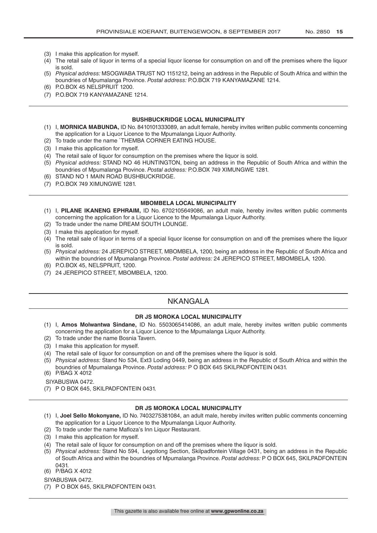- (3) I make this application for myself.
- (4) The retail sale of liquor in terms of a special liquor license for consumption on and off the premises where the liquor is sold.
- (5) *Physical address:* MSOGWABA TRUST NO 1151212, being an address in the Republic of South Africa and within the boundries of Mpumalanga Province. *Postal address:* P.O.BOX 719 KANYAMAZANE 1214.
- (6) P.O.BOX 45 NELSPRUIT 1200.
- (7) P.O.BOX 719 KANYAMAZANE 1214.

#### **BUSHBUCKRIDGE LOCAL MUNICIPALITY**

- (1) I, **MORNICA MABUNDA,** ID No. 8410101333089, an adult female, hereby invites written public comments concerning the application for a Liquor Licence to the Mpumalanga Liquor Authority.
- (2) To trade under the name `THEMBA CORNER EATING HOUSE.
- (3) I make this application for myself.
- (4) The retail sale of liquor for consumption on the premises where the liquor is sold.
- (5) *Physical address:* STAND NO 46 HUNTINGTON, being an address in the Republic of South Africa and within the boundries of Mpumalanga Province. *Postal address:* P.O.BOX 749 XIMUNGWE 1281.
- (6) STAND NO 1 MAIN ROAD BUSHBUCKRIDGE.
- (7) P.O.BOX 749 XIMUNGWE 1281.

#### **MBOMBELA LOCAL MUNICIPALITY**

- (1) I, **PILANE IKANENG EPHRAIM,** ID No. 6702105649086, an adult male, hereby invites written public comments concerning the application for a Liquor Licence to the Mpumalanga Liquor Authority.
- (2) To trade under the name DREAM SOUTH LOUNGE.
- (3) I make this application for myself.
- (4) The retail sale of liquor in terms of a special liquor license for consumption on and off the premises where the liquor is sold.
- (5) *Physical address:* 24 JEREPICO STREET, MBOMBELA, 1200, being an address in the Republic of South Africa and within the boundries of Mpumalanga Province. *Postal address:* 24 JEREPICO STREET, MBOMBELA, 1200.
- (6) P.O.BOX 45, NELSPRUIT, 1200.
- (7) 24 JEREPICO STREET, MBOMBELA, 1200.

### NKANGALA

### **DR JS MOROKA LOCAL MUNICIPALITY**

- (1) I, **Amos Molwantwa Sindane,** ID No. 5503065414086, an adult male, hereby invites written public comments concerning the application for a Liquor Licence to the Mpumalanga Liquor Authority.
- (2) To trade under the name Bosnia Tavern.
- (3) I make this application for myself.
- (4) The retail sale of liquor for consumption on and off the premises where the liquor is sold.
- (5) *Physical address:* Stand No 534, Ext3 Loding 0449, being an address in the Republic of South Africa and within the boundries of Mpumalanga Province. *Postal address:* P O BOX 645 SKILPADFONTEIN 0431.
- (6) P/BAG X 4012

SIYABUSWA 0472.

(7) P O BOX 645, SKILPADFONTEIN 0431.

### **DR JS MOROKA LOCAL MUNICIPALITY**

- (1) I, **Joel Sello Mokonyane,** ID No. 7403275381084, an adult male, hereby invites written public comments concerning the application for a Liquor Licence to the Mpumalanga Liquor Authority.
- (2) To trade under the name Mafloza's Inn Liquor Restaurant.
- (3) I make this application for myself.
- (4) The retail sale of liquor for consumption on and off the premises where the liquor is sold.
- (5) *Physical address:* Stand No 594, Legotlong Section, Skilpadfontein Village 0431, being an address in the Republic of South Africa and within the boundries of Mpumalanga Province. *Postal address:* P O BOX 645, SKILPADFONTEIN 0431.
- (6) P/BAG X 4012
- SIYABUSWA 0472.
- (7) P O BOX 645, SKILPADFONTEIN 0431.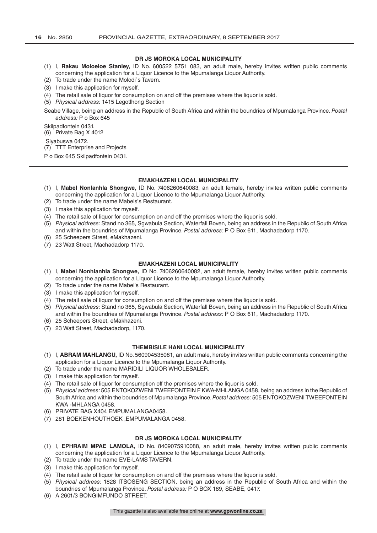### **DR JS MOROKA LOCAL MUNICIPALITY**

- (1) I, **Rakau Moloeloe Stanley,** ID No. 600522 5751 083, an adult male, hereby invites written public comments concerning the application for a Liquor Licence to the Mpumalanga Liquor Authority.
- (2) To trade under the name Molodi`s Tavern.
- (3) I make this application for myself.
- (4) The retail sale of liquor for consumption on and off the premises where the liquor is sold.
- (5) *Physical address:* 1415 Legotlhong Section

Seabe Village, being an address in the Republic of South Africa and within the boundries of Mpumalanga Province. *Postal address:* P o Box 645

Skilpadfontein 0431. (6) Private Bag X 4012

Siyabuswa 0472.

(7) TTT Enterprise and Projects

P o Box 645 Skilpadfontein 0431.

#### **EMAKHAZENI LOCAL MUNICIPALITY**

- (1) I, **Mabel Nonlanhla Shongwe,** ID No. 7406260640083, an adult female, hereby invites written public comments concerning the application for a Liquor Licence to the Mpumalanga Liquor Authority.
- (2) To trade under the name Mabels's Restaurant.
- (3) I make this application for myself.
- (4) The retail sale of liquor for consumption on and off the premises where the liquor is sold.
- (5) *Physical address:* Stand no 365, Sgwabula Section, Waterfall Boven, being an address in the Republic of South Africa and within the boundries of Mpumalanga Province. *Postal address:* P O Box 611, Machadadorp 1170.
- (6) 25 Scheepers Street, eMakhazeni.
- (7) 23 Watt Street, Machadadorp 1170.

#### **EMAKHAZENI LOCAL MUNICIPALITY**

- (1) I, **Mabel Nonhlanhla Shongwe,** ID No. 7406260640082, an adult female, hereby invites written public comments concerning the application for a Liquor Licence to the Mpumalanga Liquor Authority.
- (2) To trade under the name Mabel's Restaurant.
- (3) I make this application for myself.
- (4) The retail sale of liquor for consumption on and off the premises where the liquor is sold.
- (5) *Physical address:* Stand no 365, Sgwabula Section, Waterfall Boven, being an address in the Republic of South Africa and within the boundries of Mpumalanga Province. *Postal address:* P O Box 611, Machadadorp 1170.
- (6) 25 Scheepers Street, eMakhazeni.
- (7) 23 Watt Street, Machadadorp, 1170.

#### **THEMBISILE HANI LOCAL MUNICIPALITY**

- (1) I, **ABRAM MAHLANGU,** ID No. 560904535081, an adult male, hereby invites written public comments concerning the application for a Liquor Licence to the Mpumalanga Liquor Authority.
- (2) To trade under the name MARIDILI LIQUOR WHOLESALER.
- (3) I make this application for myself.
- (4) The retail sale of liquor for consumption off the premises where the liquor is sold.
- (5) *Physical address:* 505 ENTOKOZWENI TWEEFONTEIN F KWA-MHLANGA 0458, being an address in the Republic of South Africa and within the boundries of Mpumalanga Province. *Postal address:* 505 ENTOKOZWENI TWEEFONTEIN KWA -MHLANGA 0458.
- (6) PRIVATE BAG X404 EMPUMALANGA0458.
- (7) 281 BOEKENHOUTHOEK ,EMPUMALANGA 0458.

#### **DR JS MOROKA LOCAL MUNICIPALITY**

- (1) I, **EPHRAIM MPAE LAMOLA,** ID No. 8409075910088, an adult male, hereby invites written public comments concerning the application for a Liquor Licence to the Mpumalanga Liquor Authority.
- (2) To trade under the name EVE-LAMS TAVERN.
- (3) I make this application for myself.
- (4) The retail sale of liquor for consumption on and off the premises where the liquor is sold.
- (5) *Physical address:* 1828 ITSOSENG SECTION, being an address in the Republic of South Africa and within the boundries of Mpumalanga Province. *Postal address:* P O BOX 189, SEABE, 0417.
- (6) A 2601/3 BONGIMFUNDO STREET.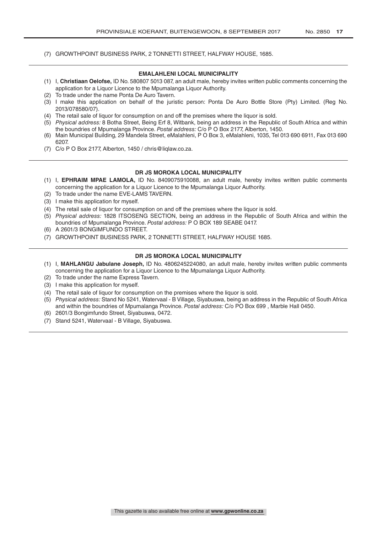### (7) GROWTHPOINT BUSINESS PARK, 2 TONNETTI STREET, HALFWAY HOUSE, 1685.

### **EMALAHLENI LOCAL MUNICIPALITY**

- (1) I, **Christiaan Oelofse,** ID No. 580807 5013 087, an adult male, hereby invites written public comments concerning the application for a Liquor Licence to the Mpumalanga Liquor Authority.
- (2) To trade under the name Ponta De Auro Tavern.
- (3) I make this application on behalf of the juristic person: Ponta De Auro Bottle Store (Pty) Limited. (Reg No. 2013/078580/07).
- (4) The retail sale of liquor for consumption on and off the premises where the liquor is sold.
- (5) *Physical address:* 8 Botha Street, Being Erf 8, Witbank, being an address in the Republic of South Africa and within the boundries of Mpumalanga Province. *Postal address:* C/o P O Box 2177, Alberton, 1450.
- (6) Main Municipal Building, 29 Mandela Street, eMalahleni, P O Box 3, eMalahleni, 1035, Tel 013 690 6911, Fax 013 690 6207.
- (7) C/o P O Box 2177, Alberton, 1450 / chris@liqlaw.co.za.

#### **DR JS MOROKA LOCAL MUNICIPALITY**

- (1) I, **EPHRAIM MPAE LAMOLA,** ID No. 8409075910088, an adult male, hereby invites written public comments concerning the application for a Liquor Licence to the Mpumalanga Liquor Authority.
- (2) To trade under the name EVE-LAMS TAVERN.
- (3) I make this application for myself.
- (4) The retail sale of liquor for consumption on and off the premises where the liquor is sold.
- (5) *Physical address:* 1828 ITSOSENG SECTION, being an address in the Republic of South Africa and within the boundries of Mpumalanga Province. *Postal address:* P O BOX 189 SEABE 0417.
- (6) A 2601/3 BONGIMFUNDO STREET.
- (7) GROWTHPOINT BUSINESS PARK, 2 TONNETTI STREET, HALFWAY HOUSE 1685.

### **DR JS MOROKA LOCAL MUNICIPALITY**

- (1) I, **MAHLANGU Jabulane Joseph,** ID No. 4806245224080, an adult male, hereby invites written public comments concerning the application for a Liquor Licence to the Mpumalanga Liquor Authority.
- (2) To trade under the name Express Tavern.
- (3) I make this application for myself.
- (4) The retail sale of liquor for consumption on the premises where the liquor is sold.
- (5) *Physical address:* Stand No 5241, Watervaal B Village, Siyabuswa, being an address in the Republic of South Africa and within the boundries of Mpumalanga Province. *Postal address:* C/o PO Box 699 , Marble Hall 0450.
- (6) 2601/3 Bongimfundo Street, Siyabuswa, 0472.
- (7) Stand 5241, Watervaal B Village, Siyabuswa.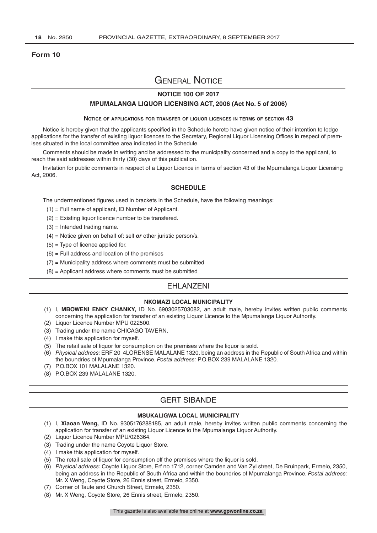### **Form 10**

## General Notice

### **NOTICE 100 OF 2017**

#### **MPUMALANGA LIQUOR LICENSING ACT, 2006 (Act No. 5 of 2006)**

#### **Notice of applications for transfer of liquor licences in terms of section 43**

Notice is hereby given that the applicants specified in the Schedule hereto have given notice of their intention to lodge applications for the transfer of existing liquor licences to the Secretary, Regional Liquor Licensing Offices in respect of premises situated in the local committee area indicated in the Schedule.

Comments should be made in writing and be addressed to the municipality concerned and a copy to the applicant, to reach the said addresses within thirty (30) days of this publication.

Invitation for public comments in respect of a Liquor Licence in terms of section 43 of the Mpumalanga Liquor Licensing Act, 2006.

### **SCHEDULE**

The undermentioned figures used in brackets in the Schedule, have the following meanings:

- (1) = Full name of applicant, ID Number of Applicant.
- (2) = Existing liquor licence number to be transfered.
- $(3)$  = Intended trading name.
- (4) = Notice given on behalf of: self *or* other juristic person/s.
- $(5)$  = Type of licence applied for.
- $(6)$  = Full address and location of the premises
- $(7)$  = Municipality address where comments must be submitted
- $(8)$  = Applicant address where comments must be submitted

### EHLANZENI

### **NKOMAZI LOCAL MUNICIPALITY**

- (1) I, **MBOWENI ENKY CHANKY,** ID No. 6903025703082, an adult male, hereby invites written public comments concerning the application for transfer of an existing Liquor Licence to the Mpumalanga Liquor Authority.
- (2) Liquor Licence Number MPU 022500.
- (3) Trading under the name CHICAGO TAVERN.
- (4) I make this application for myself.
- (5) The retail sale of liquor for consumption on the premises where the liquor is sold.
- (6) *Physical address:* ERF 20 4LORENSE MALALANE 1320, being an address in the Republic of South Africa and within the boundries of Mpumalanga Province. *Postal address:* P.O.BOX 239 MALALANE 1320.
- (7) P.O.BOX 101 MALALANE 1320.
- (8) P.O.BOX 239 MALALANE 1320.

### GERT SIBANDE

### **MSUKALIGWA LOCAL MUNICIPALITY**

- (1) I, **Xiaoan Weng,** ID No. 9305176288185, an adult male, hereby invites written public comments concerning the application for transfer of an existing Liquor Licence to the Mpumalanga Liquor Authority.
- (2) Liquor Licence Number MPU/026364.
- (3) Trading under the name Coyote Liquor Store.
- (4) I make this application for myself.
- (5) The retail sale of liquor for consumption off the premises where the liquor is sold.
- (6) *Physical address:* Coyote Liquor Store, Erf no 1712, corner Camden and Van Zyl street, De Bruinpark, Ermelo, 2350, being an address in the Republic of South Africa and within the boundries of Mpumalanga Province. *Postal address:*  Mr. X Weng, Coyote Store, 26 Ennis street, Ermelo, 2350.
- (7) Corner of Taute and Church Street, Ermelo, 2350.
- (8) Mr. X Weng, Coyote Store, 26 Ennis street, Ermelo, 2350.

This gazette is also available free online at **www.gpwonline.co.za**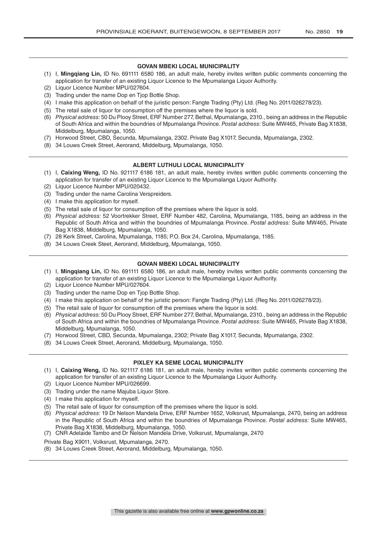### **GOVAN MBEKI LOCAL MUNICIPALITY**

- (1) I, **Mingqiang Lin,** ID No. 691111 6580 186, an adult male, hereby invites written public comments concerning the application for transfer of an existing Liquor Licence to the Mpumalanga Liquor Authority.
- (2) Liquor Licence Number MPU/027604.
- (3) Trading under the name Dop en Tjop Bottle Shop.
- (4) I make this application on behalf of the juristic person: Fangte Trading (Pty) Ltd. (Reg No. 2011/026278/23).
- (5) The retail sale of liquor for consumption off the premises where the liquor is sold.
- (6) *Physical address:* 50 Du Plooy Street, ERF Number 277, Bethal, Mpumalanga, 2310., being an address in the Republic of South Africa and within the boundries of Mpumalanga Province. *Postal address:* Suite MW465, Private Bag X1838, Middelburg, Mpumalanga, 1050.
- (7) Horwood Street, CBD, Secunda, Mpumalanga, 2302. Private Bag X1017, Secunda, Mpumalanga, 2302.
- (8) 34 Louws Creek Street, Aerorand, Middelburg, Mpumalanga, 1050.

### **ALBERT LUTHULI LOCAL MUNICIPALITY**

- (1) I, **Caixing Weng,** ID No. 921117 6186 181, an adult male, hereby invites written public comments concerning the application for transfer of an existing Liquor Licence to the Mpumalanga Liquor Authority.
- (2) Liquor Licence Number MPU/020432.
- (3) Trading under the name Carolina Verspreiders.
- (4) I make this application for myself.
- (5) The retail sale of liquor for consumption off the premises where the liquor is sold.
- (6) *Physical address:* 52 Voortrekker Street, ERF Number 482, Carolina, Mpumalanga, 1185, being an address in the Republic of South Africa and within the boundries of Mpumalanga Province. *Postal address:* Suite MW465, Private Bag X1838, Middelburg, Mpumalanga, 1050.
- (7) 28 Kerk Street, Carolina, Mpumalanga, 1185; P.O. Box 24, Carolina, Mpumalanga, 1185.
- (8) 34 Louws Creek Steet, Aerorand, Middelburg, Mpumalanga, 1050.

### **GOVAN MBEKI LOCAL MUNICIPALITY**

- (1) I, **Mingqiang Lin,** ID No. 691111 6580 186, an adult male, hereby invites written public comments concerning the application for transfer of an existing Liquor Licence to the Mpumalanga Liquor Authority.
- (2) Liquor Licence Number MPU/027604.
- (3) Trading under the name Dop en Tjop Bottle Shop.
- (4) I make this application on behalf of the juristic person: Fangte Trading (Pty) Ltd. (Reg No. 2011/026278/23).
- (5) The retail sale of liquor for consumption off the premises where the liquor is sold.
- (6) *Physical address:* 50 Du Plooy Street, ERF Number 277, Bethal, Mpumalanga, 2310., being an address in the Republic of South Africa and within the boundries of Mpumalanga Province. *Postal address:* Suite MW465, Private Bag X1838, Middelburg, Mpumalanga, 1050.
- (7) Horwood Street, CBD, Secunda, Mpumalanga, 2302; Private Bag X1017, Secunda, Mpumalanga, 2302.
- (8) 34 Louws Creek Street, Aerorand, Middelburg, Mpumalanga, 1050.

### **PIXLEY KA SEME LOCAL MUNICIPALITY**

- (1) I, **Caixing Weng,** ID No. 921117 6186 181, an adult male, hereby invites written public comments concerning the application for transfer of an existing Liquor Licence to the Mpumalanga Liquor Authority.
- (2) Liquor Licence Number MPU/026699.
- (3) Trading under the name Majuba Liquor Store.
- (4) I make this application for myself.
- (5) The retail sale of liquor for consumption off the premises where the liquor is sold.
- (6) *Physical address:* 19 Dr Nelson Mandela Drive, ERF Number 1652, Volksrust, Mpumalanga, 2470, being an address in the Republic of South Africa and within the boundries of Mpumalanga Province. *Postal address:* Suite MW465, Private Bag X1838, Middelburg, Mpumalanga, 1050.
- (7) CNR Adelaide Tambo and Dr Nelson Mandela Drive, Volksrust, Mpumalanga, 2470
- Private Bag X9011, Volksrust, Mpumalanga, 2470.
- (8) 34 Louws Creek Street, Aerorand, Middelburg, Mpumalanga, 1050.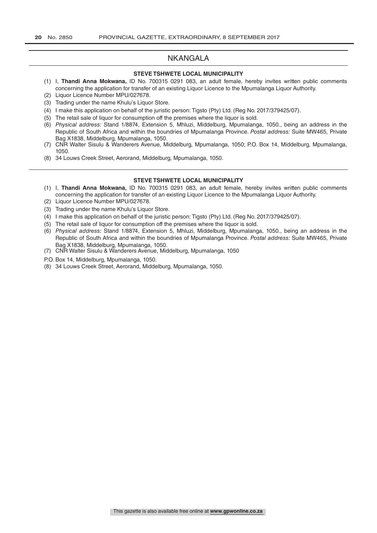### NKANGALA

### **STEVE TSHWETE LOCAL MUNICIPALITY**

- (1) I, **Thandi Anna Mokwana,** ID No. 700315 0291 083, an adult female, hereby invites written public comments concerning the application for transfer of an existing Liquor Licence to the Mpumalanga Liquor Authority.
- (2) Liquor Licence Number MPU/027678.
- (3) Trading under the name Khulu's Liquor Store.
- (4) I make this application on behalf of the juristic person: Tigsto (Pty) Ltd. (Reg No. 2017/379425/07).
- (5) The retail sale of liquor for consumption off the premises where the liquor is sold.
- (6) *Physical address:* Stand 1/8874, Extension 5, Mhluzi, Middelburg, Mpumalanga, 1050., being an address in the Republic of South Africa and within the boundries of Mpumalanga Province. *Postal address:* Suite MW465, Private Bag X1838, Middelburg, Mpumalanga, 1050.
- (7) CNR Walter Sisulu & Wanderers Avenue, Middelburg, Mpumalanga, 1050; P.O. Box 14, Middelburg, Mpumalanga, 1050.
- (8) 34 Louws Creek Street, Aerorand, Middelburg, Mpumalanga, 1050.

### **STEVE TSHWETE LOCAL MUNICIPALITY**

- (1) I, **Thandi Anna Mokwana,** ID No. 700315 0291 083, an adult female, hereby invites written public comments concerning the application for transfer of an existing Liquor Licence to the Mpumalanga Liquor Authority.
- (2) Liquor Licence Number MPU/027678.
- (3) Trading under the name Khulu's Liquor Store.
- (4) I make this application on behalf of the juristic person: Tigsto (Pty) Ltd. (Reg No. 2017/379425/07).
- (5) The retail sale of liquor for consumption off the premises where the liquor is sold.
- (6) *Physical address:* Stand 1/8874, Extension 5, Mhluzi, Middelburg, Mpumalanga, 1050., being an address in the Republic of South Africa and within the boundries of Mpumalanga Province. *Postal address:* Suite MW465, Private Bag X1838, Middelburg, Mpumalanga, 1050.
- (7) CNR Walter Sisulu & Wanderers Avenue, Middelburg, Mpumalanga, 1050
- P.O. Box 14, Middelburg, Mpumalanga, 1050.
- (8) 34 Louws Creek Street, Aerorand, Middelburg, Mpumalanga, 1050.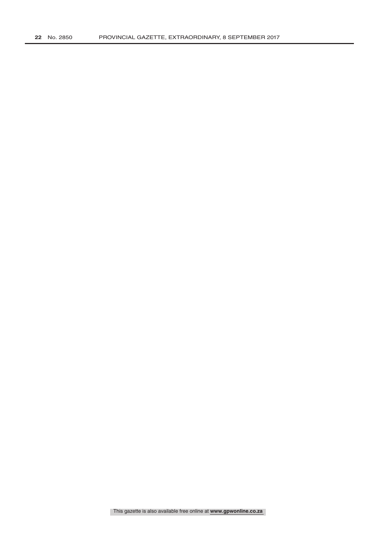This gazette is also available free online at **www.gpwonline.co.za**